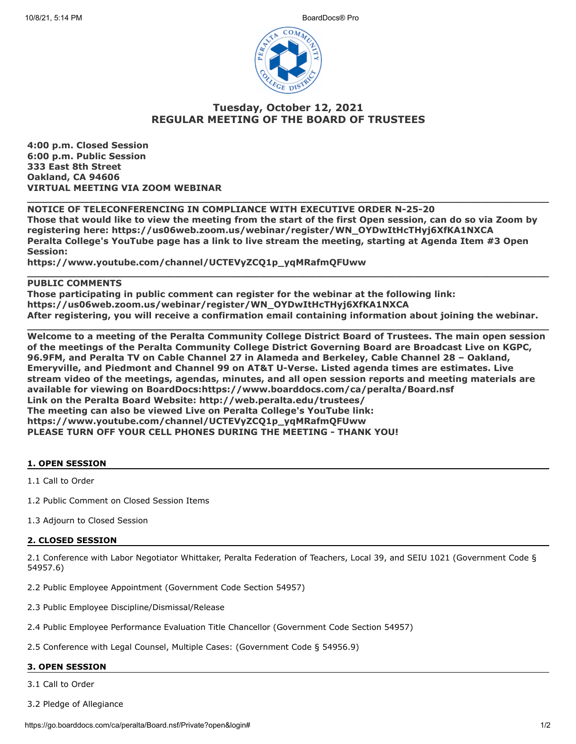

# **Tuesday, October 12, 2021 REGULAR MEETING OF THE BOARD OF TRUSTEES**

**4:00 p.m. Closed Session 6:00 p.m. Public Session 333 East 8th Street Oakland, CA 94606 VIRTUAL MEETING VIA ZOOM WEBINAR**

# **NOTICE OF TELECONFERENCING IN COMPLIANCE WITH EXECUTIVE ORDER N-25-20 Those that would like to view the meeting from the start of the first Open session, can do so via Zoom by registering here: https://us06web.zoom.us/webinar/register/WN\_OYDwItHcTHyj6XfKA1NXCA Peralta College's YouTube page has a link to live stream the meeting, starting at Agenda Item #3 Open Session:**

**\_\_\_\_\_\_\_\_\_\_\_\_\_\_\_\_\_\_\_\_\_\_\_\_\_\_\_\_\_\_\_\_\_\_\_\_\_\_\_\_\_\_\_\_\_\_\_\_\_\_\_\_\_\_\_\_\_\_\_\_\_\_\_\_\_\_\_\_\_\_\_\_\_\_\_\_\_\_\_\_\_\_\_\_\_**

**https://www.youtube.com/channel/UCTEVyZCQ1p\_yqMRafmQFUww**

### **PUBLIC COMMENTS**

**Those participating in public comment can register for the webinar at the following link: https://us06web.zoom.us/webinar/register/WN\_OYDwItHcTHyj6XfKA1NXCA After registering, you will receive a confirmation email containing information about joining the webinar.**

**\_\_\_\_\_\_\_\_\_\_\_\_\_\_\_\_\_\_\_\_\_\_\_\_\_\_\_\_\_\_\_\_\_\_\_\_\_\_\_\_\_\_\_\_\_\_\_\_\_\_\_\_\_\_\_\_\_\_\_\_\_\_\_\_\_\_\_\_\_\_\_\_\_\_\_\_\_\_\_\_\_\_\_\_\_**

**\_\_\_\_\_\_\_\_\_\_\_\_\_\_\_\_\_\_\_\_\_\_\_\_\_\_\_\_\_\_\_\_\_\_\_\_\_\_\_\_\_\_\_\_\_\_\_\_\_\_\_\_\_\_\_\_\_\_\_\_\_\_\_\_\_\_\_\_\_\_\_\_\_\_\_\_\_\_\_\_\_\_\_\_\_**

**Welcome to a meeting of the Peralta Community College District Board of Trustees. The main open session of the meetings of the Peralta Community College District Governing Board are Broadcast Live on KGPC, 96.9FM, and Peralta TV on Cable Channel 27 in Alameda and Berkeley, Cable Channel 28 – Oakland, Emeryville, and Piedmont and Channel 99 on AT&T U-Verse. Listed agenda times are estimates. Live stream video of the meetings, agendas, minutes, and all open session reports and meeting materials are available for viewing on BoardDocs:https://www.boarddocs.com/ca/peralta/Board.nsf Link on the Peralta Board Website: http://web.peralta.edu/trustees/ The meeting can also be viewed Live on Peralta College's YouTube link: https://www.youtube.com/channel/UCTEVyZCQ1p\_yqMRafmQFUww PLEASE TURN OFF YOUR CELL PHONES DURING THE MEETING - THANK YOU!**

# **1. OPEN SESSION**

1.1 Call to Order

1.2 Public Comment on Closed Session Items

1.3 Adjourn to Closed Session

#### **2. CLOSED SESSION**

2.1 Conference with Labor Negotiator Whittaker, Peralta Federation of Teachers, Local 39, and SEIU 1021 (Government Code § 54957.6)

2.2 Public Employee Appointment (Government Code Section 54957)

- 2.3 Public Employee Discipline/Dismissal/Release
- 2.4 Public Employee Performance Evaluation Title Chancellor (Government Code Section 54957)

2.5 Conference with Legal Counsel, Multiple Cases: (Government Code § 54956.9)

# **3. OPEN SESSION**

3.1 Call to Order

3.2 Pledge of Allegiance